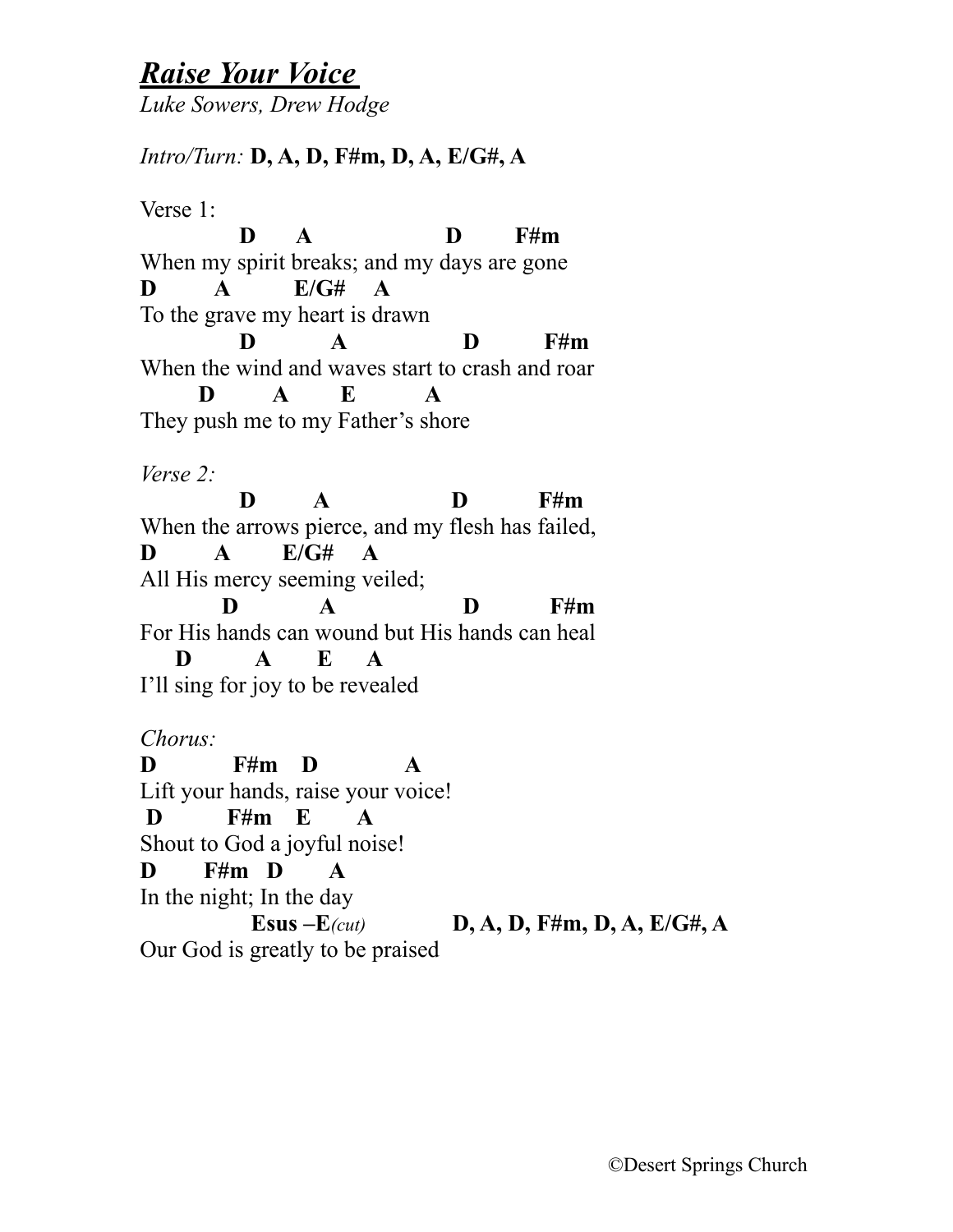## *Raise Your Voice*

*Luke Sowers, Drew Hodge*

## *Intro/Turn:* **D, A, D, F#m, D, A, E/G#, A**

Verse 1:

**D A D** F#m When my spirit breaks; and my days are gone **D A E/G# A** To the grave my heart is drawn **D A D** F#m When the wind and waves start to crash and roar **D A E A** They push me to my Father's shore *Verse 2:* **D** A D F#m When the arrows pierce, and my flesh has failed, **D A E/G# A**  All His mercy seeming veiled; **D** A D F#m For His hands can wound but His hands can heal **D A E A** I'll sing for joy to be revealed *Chorus:*  **D F#m D A** Lift your hands, raise your voice!  **D F#m E A**

Shout to God a joyful noise! **D F#m D A**

In the night; In the day

 **Esus –E***(cut)* **D, A, D, F#m, D, A, E/G#, A** Our God is greatly to be praised